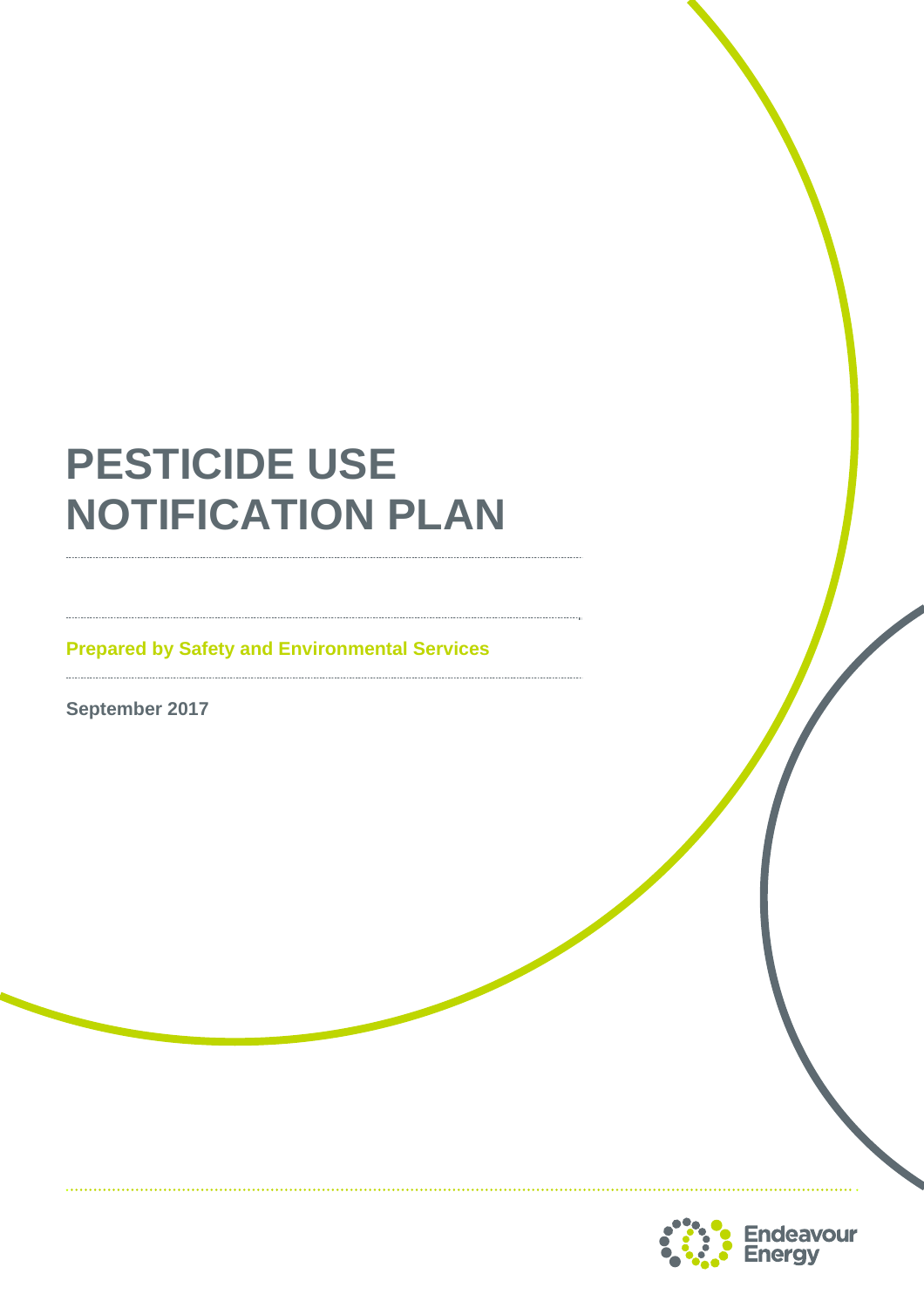# **PESTICIDE USE NOTIFICATION PLAN**

**Prepared by Safety and Environmental Services** 

**September 2017** 

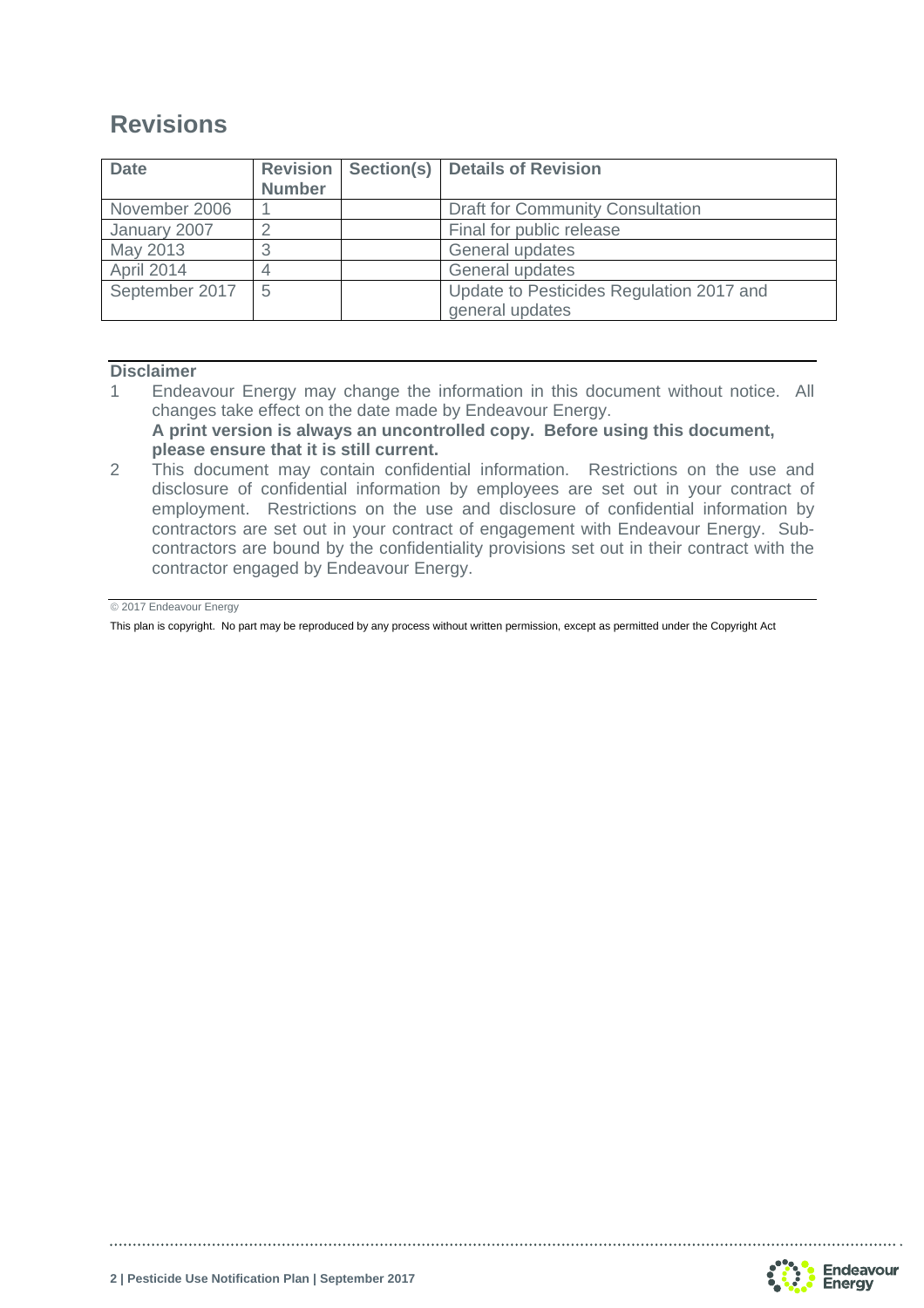# **Revisions**

| <b>Date</b>    | <b>Revision</b><br><b>Number</b> | Section(s)   Details of Revision                            |
|----------------|----------------------------------|-------------------------------------------------------------|
| November 2006  |                                  | <b>Draft for Community Consultation</b>                     |
| January 2007   |                                  | Final for public release                                    |
| May 2013       |                                  | General updates                                             |
| April 2014     |                                  | General updates                                             |
| September 2017 | 5                                | Update to Pesticides Regulation 2017 and<br>general updates |

#### **Disclaimer**

- 1 Endeavour Energy may change the information in this document without notice. All changes take effect on the date made by Endeavour Energy. **A print version is always an uncontrolled copy. Before using this document, please ensure that it is still current.**
- 2 This document may contain confidential information. Restrictions on the use and disclosure of confidential information by employees are set out in your contract of employment. Restrictions on the use and disclosure of confidential information by contractors are set out in your contract of engagement with Endeavour Energy. Subcontractors are bound by the confidentiality provisions set out in their contract with the contractor engaged by Endeavour Energy.

© 2017 Endeavour Energy

This plan is copyright. No part may be reproduced by any process without written permission, except as permitted under the Copyright Act

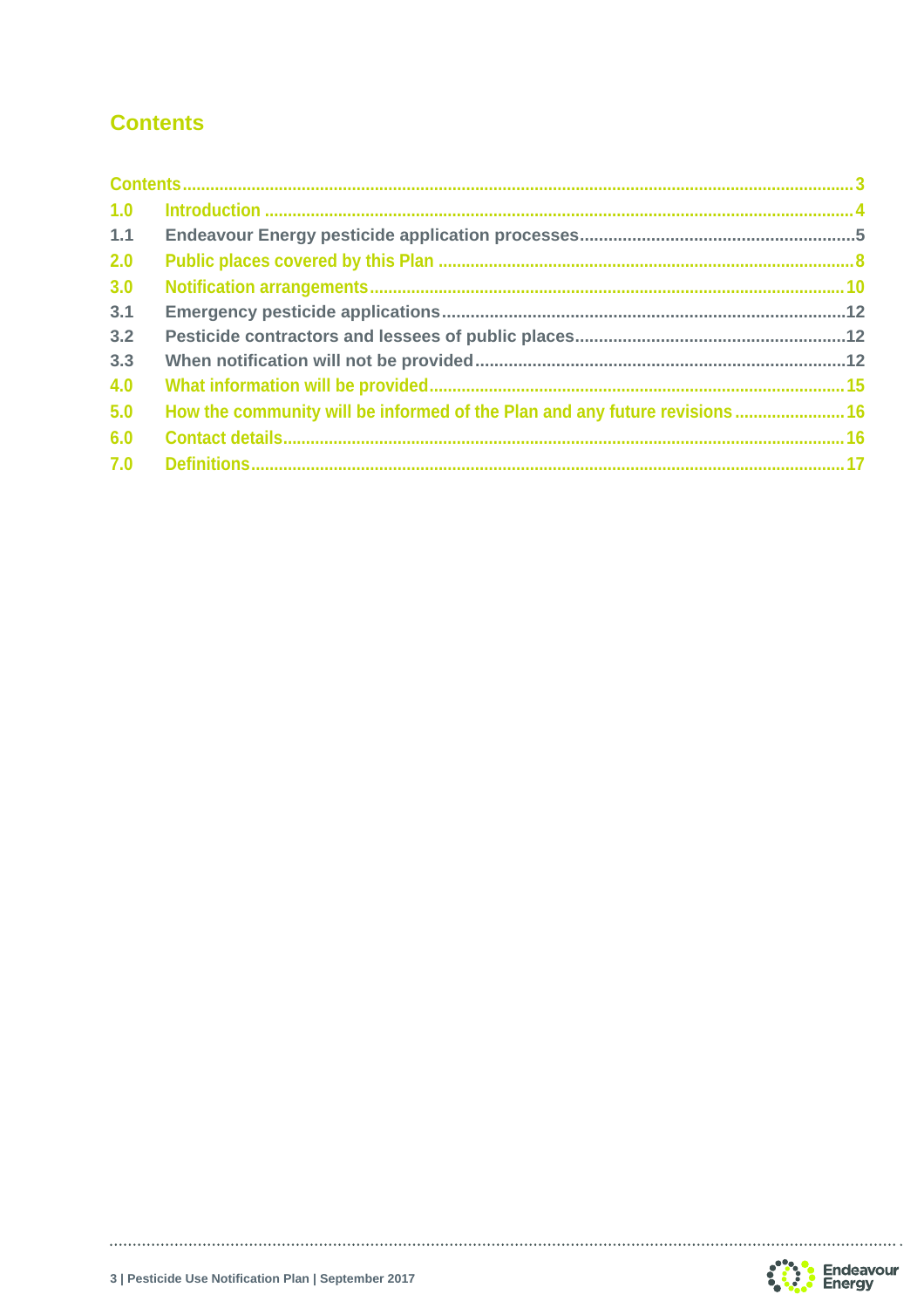## **Contents**

| 1.0 |                                                                             |  |
|-----|-----------------------------------------------------------------------------|--|
| 1.1 |                                                                             |  |
| 2.0 |                                                                             |  |
| 3.0 |                                                                             |  |
| 3.1 |                                                                             |  |
| 3.2 |                                                                             |  |
| 3.3 |                                                                             |  |
| 4.0 |                                                                             |  |
| 5.0 | How the community will be informed of the Plan and any future revisions  16 |  |
| 6.0 |                                                                             |  |
| 7.0 |                                                                             |  |
|     |                                                                             |  |



. . . . . . . . . . . . .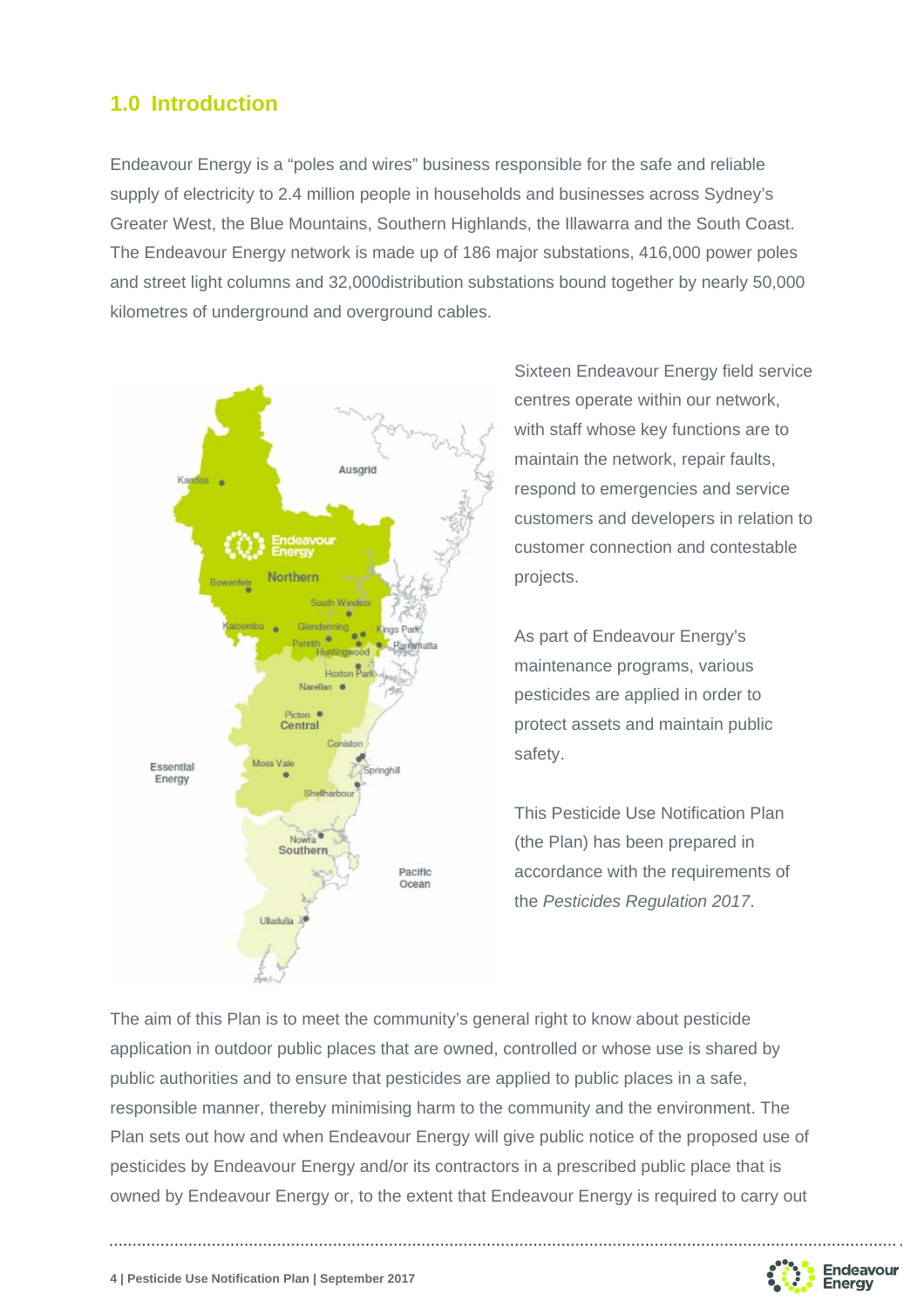## **1.0 Introduction**

Endeavour Energy is a "poles and wires" business responsible for the safe and reliable supply of electricity to 2.4 million people in households and businesses across Sydney's Greater West, the Blue Mountains, Southern Highlands, the Illawarra and the South Coast. The Endeavour Energy network is made up of 186 major substations, 416,000 power poles and street light columns and 32,000distribution substations bound together by nearly 50,000 kilometres of underground and overground cables.



Sixteen Endeavour Energy field service centres operate within our network, with staff whose key functions are to maintain the network, repair faults, respond to emergencies and service customers and developers in relation to customer connection and contestable projects.

As part of Endeavour Energy's maintenance programs, various pesticides are applied in order to protect assets and maintain public safety.

This Pesticide Use Notification Plan (the Plan) has been prepared in accordance with the requirements of the *Pesticides Regulation 2017*.

The aim of this Plan is to meet the community's general right to know about pesticide application in outdoor public places that are owned, controlled or whose use is shared by public authorities and to ensure that pesticides are applied to public places in a safe, responsible manner, thereby minimising harm to the community and the environment. The Plan sets out how and when Endeavour Energy will give public notice of the proposed use of pesticides by Endeavour Energy and/or its contractors in a prescribed public place that is owned by Endeavour Energy or, to the extent that Endeavour Energy is required to carry out

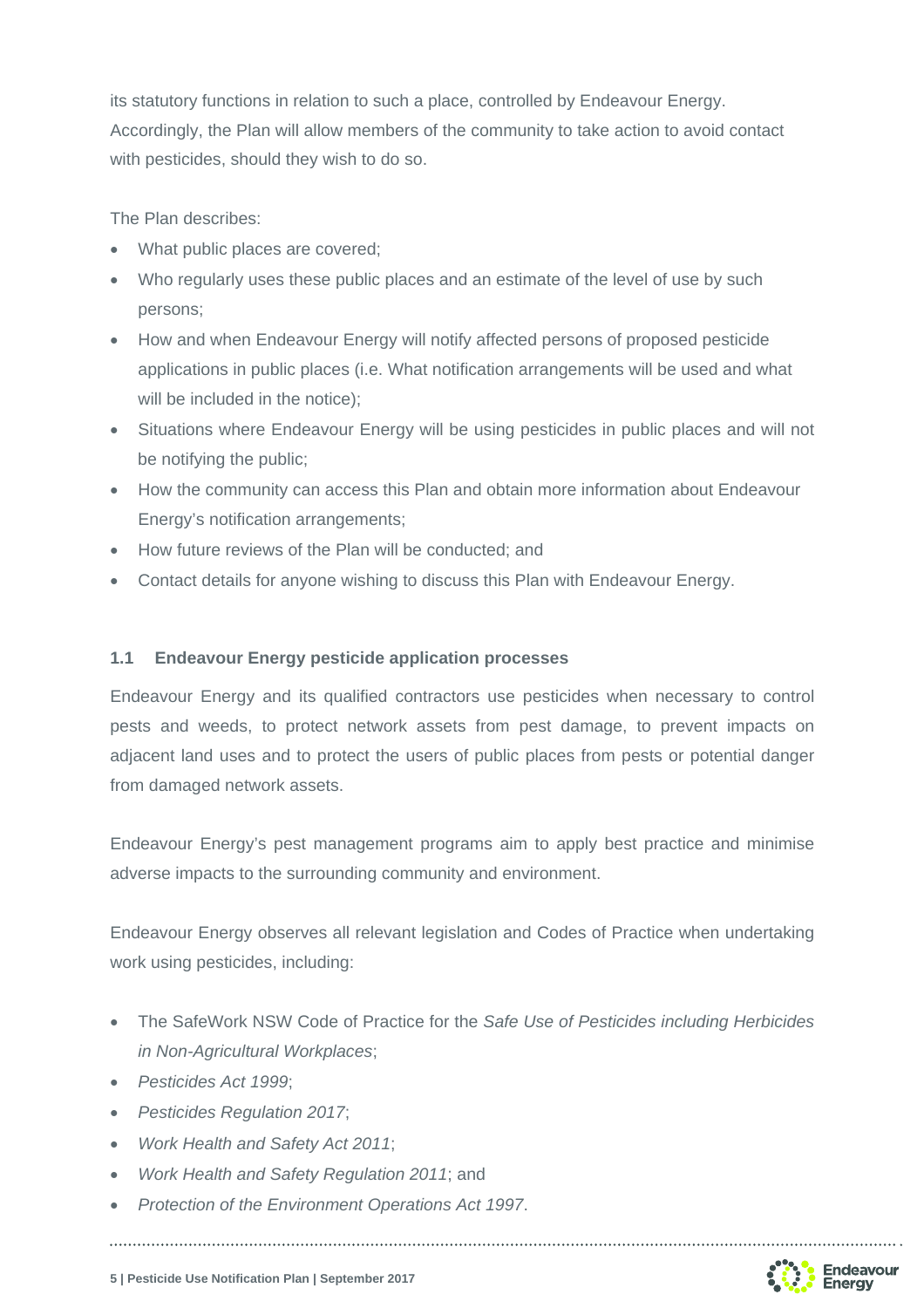its statutory functions in relation to such a place, controlled by Endeavour Energy. Accordingly, the Plan will allow members of the community to take action to avoid contact with pesticides, should they wish to do so.

The Plan describes:

- What public places are covered;
- Who regularly uses these public places and an estimate of the level of use by such persons;
- How and when Endeavour Energy will notify affected persons of proposed pesticide applications in public places (i.e. What notification arrangements will be used and what will be included in the notice);
- Situations where Endeavour Energy will be using pesticides in public places and will not be notifying the public;
- How the community can access this Plan and obtain more information about Endeavour Energy's notification arrangements;
- How future reviews of the Plan will be conducted; and
- Contact details for anyone wishing to discuss this Plan with Endeavour Energy.

#### **1.1 Endeavour Energy pesticide application processes**

Endeavour Energy and its qualified contractors use pesticides when necessary to control pests and weeds, to protect network assets from pest damage, to prevent impacts on adjacent land uses and to protect the users of public places from pests or potential danger from damaged network assets.

Endeavour Energy's pest management programs aim to apply best practice and minimise adverse impacts to the surrounding community and environment.

Endeavour Energy observes all relevant legislation and Codes of Practice when undertaking work using pesticides, including:

- The SafeWork NSW Code of Practice for the *Safe Use of Pesticides including Herbicides in Non-Agricultural Workplaces*;
- *Pesticides Act 1999*;
- *Pesticides Regulation 2017*;
- *Work Health and Safety Act 2011*;
- *Work Health and Safety Regulation 2011*; and
- *Protection of the Environment Operations Act 1997*.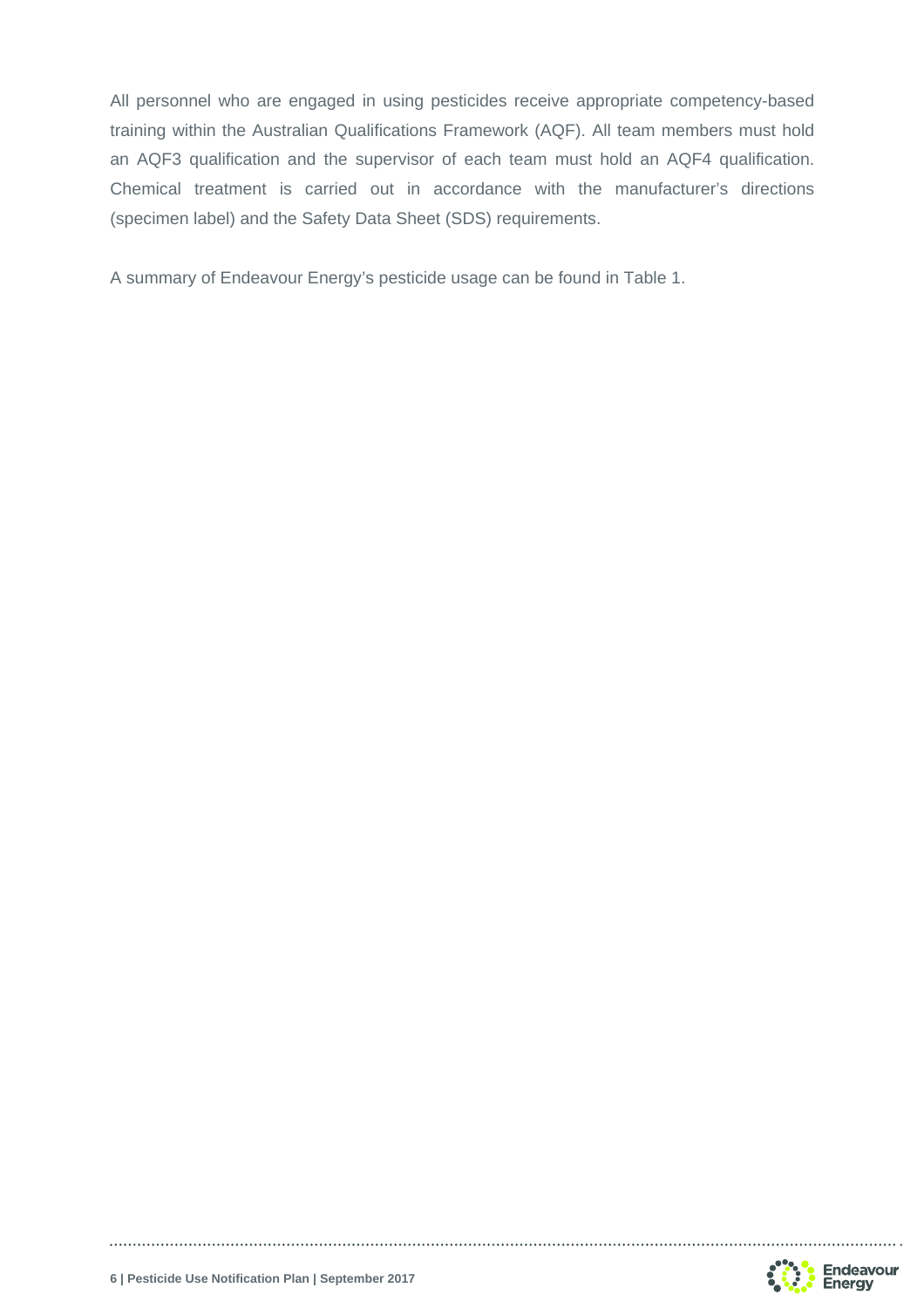All personnel who are engaged in using pesticides receive appropriate competency-based training within the Australian Qualifications Framework (AQF). All team members must hold an AQF3 qualification and the supervisor of each team must hold an AQF4 qualification. Chemical treatment is carried out in accordance with the manufacturer's directions (specimen label) and the Safety Data Sheet (SDS) requirements.

A summary of Endeavour Energy's pesticide usage can be found in Table 1.

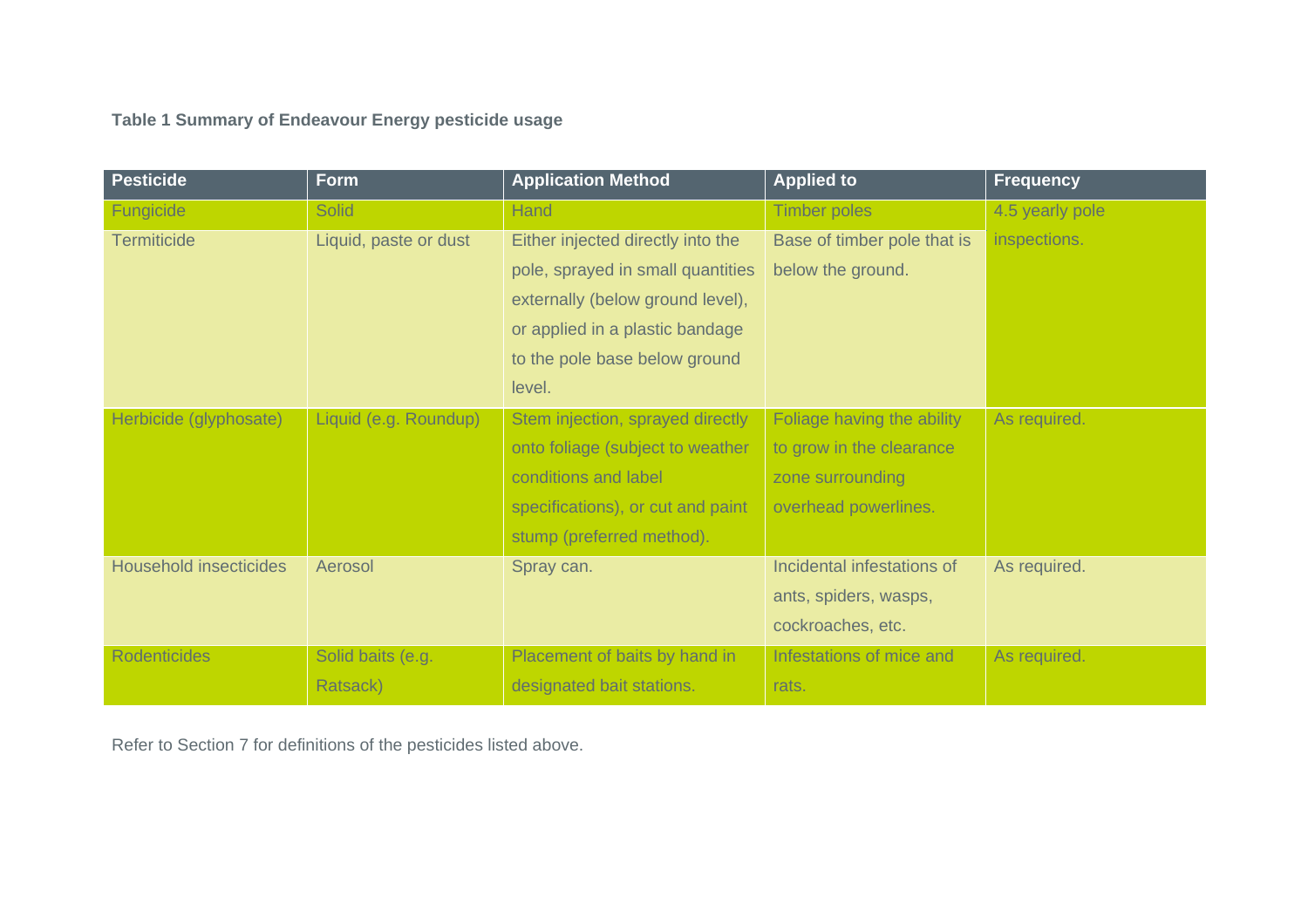**Table 1 Summary of Endeavour Energy pesticide usage** 

| <b>Pesticide</b>              | <b>Form</b>           | <b>Application Method</b>         | <b>Applied to</b>           | <b>Frequency</b> |
|-------------------------------|-----------------------|-----------------------------------|-----------------------------|------------------|
| Fungicide                     | <b>Solid</b>          | <b>Hand</b>                       | <b>Timber poles</b>         | 4.5 yearly pole  |
| <b>Termiticide</b>            | Liquid, paste or dust | Either injected directly into the | Base of timber pole that is | inspections.     |
|                               |                       | pole, sprayed in small quantities | below the ground.           |                  |
|                               |                       | externally (below ground level),  |                             |                  |
|                               |                       | or applied in a plastic bandage   |                             |                  |
|                               |                       | to the pole base below ground     |                             |                  |
|                               |                       | level.                            |                             |                  |
| Herbicide (glyphosate)        | Liquid (e.g. Roundup) | Stem injection, sprayed directly  | Foliage having the ability  | As required.     |
|                               |                       | onto foliage (subject to weather  | to grow in the clearance    |                  |
|                               |                       | conditions and label              | zone surrounding            |                  |
|                               |                       | specifications), or cut and paint | overhead powerlines.        |                  |
|                               |                       | stump (preferred method).         |                             |                  |
| <b>Household insecticides</b> | Aerosol               | Spray can.                        | Incidental infestations of  | As required.     |
|                               |                       |                                   | ants, spiders, wasps,       |                  |
|                               |                       |                                   | cockroaches, etc.           |                  |
| <b>Rodenticides</b>           | Solid baits (e.g.     | Placement of baits by hand in     | Infestations of mice and    | As required.     |
|                               | Ratsack)              | designated bait stations.         | rats.                       |                  |

Refer to Section 7 for definitions of the pesticides listed above.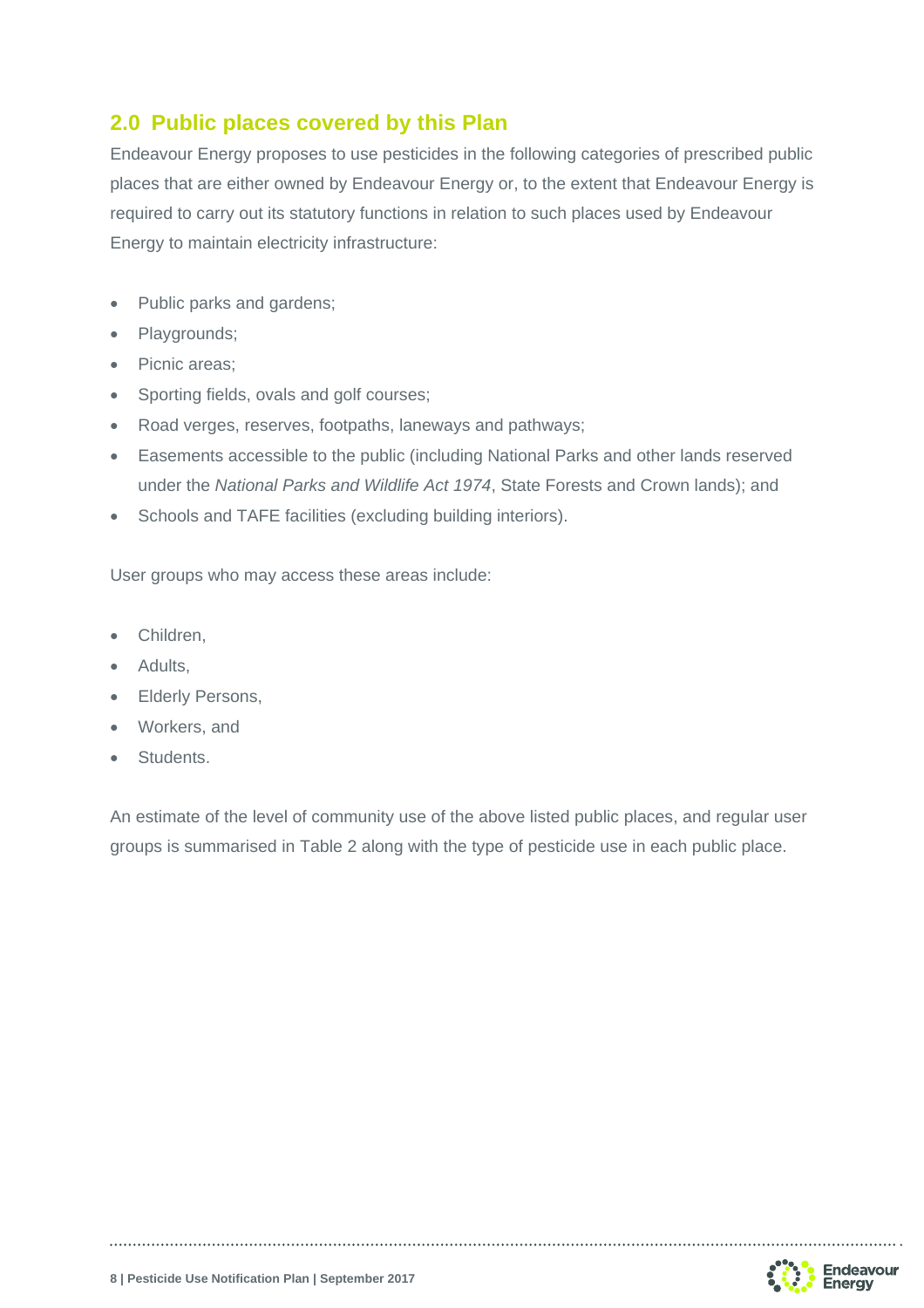## **2.0 Public places covered by this Plan**

Endeavour Energy proposes to use pesticides in the following categories of prescribed public places that are either owned by Endeavour Energy or, to the extent that Endeavour Energy is required to carry out its statutory functions in relation to such places used by Endeavour Energy to maintain electricity infrastructure:

- Public parks and gardens;
- Playgrounds;
- Picnic areas;
- Sporting fields, ovals and golf courses;
- Road verges, reserves, footpaths, laneways and pathways;
- Easements accessible to the public (including National Parks and other lands reserved under the *National Parks and Wildlife Act 1974*, State Forests and Crown lands); and
- Schools and TAFE facilities (excluding building interiors).

User groups who may access these areas include:

- Children,
- Adults.
- Elderly Persons,
- Workers, and
- Students.

An estimate of the level of community use of the above listed public places, and regular user groups is summarised in Table 2 along with the type of pesticide use in each public place.

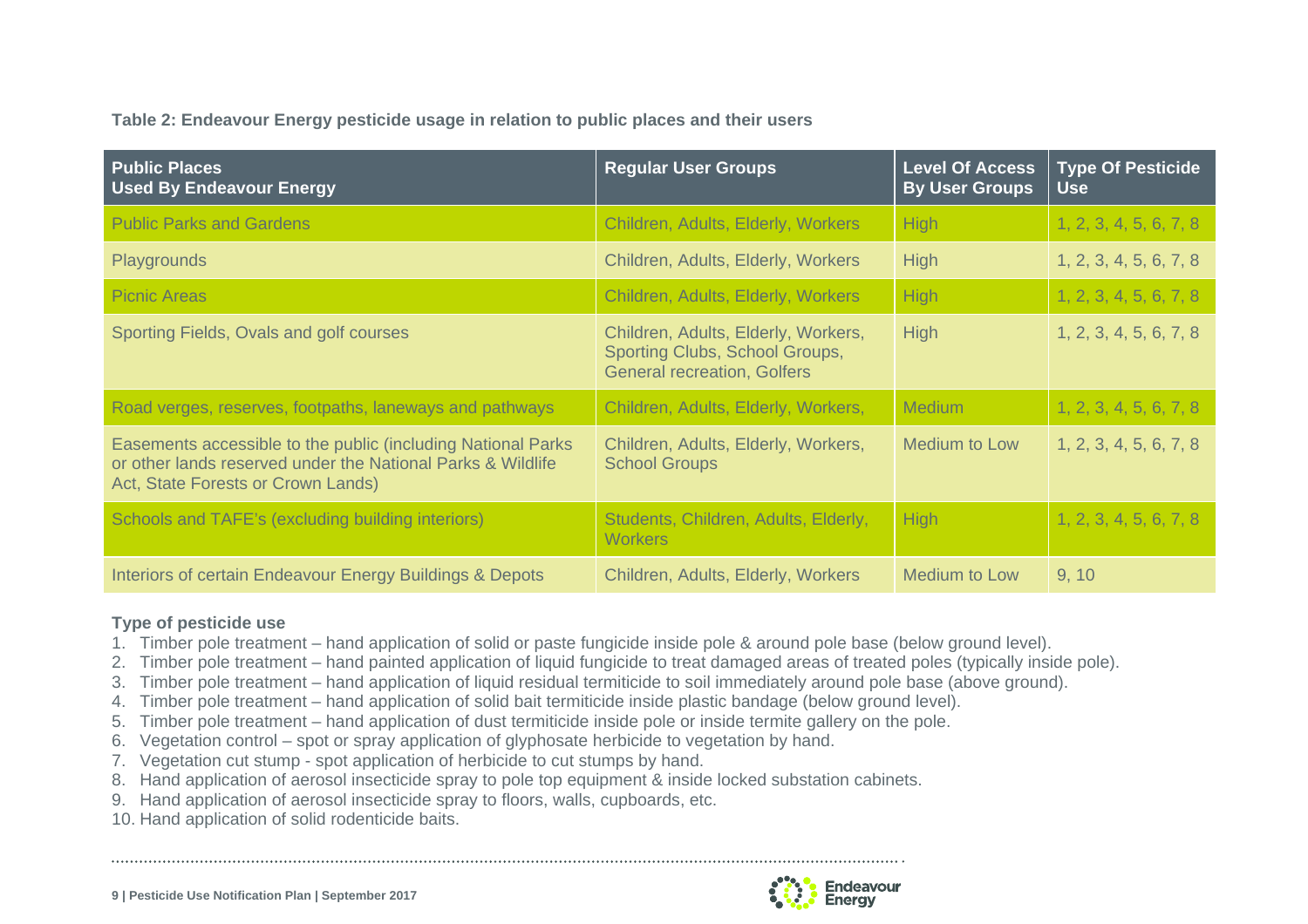**Table 2: Endeavour Energy pesticide usage in relation to public places and their users** 

| <b>Public Places</b><br><b>Used By Endeavour Energy</b>                                                                                                           | <b>Regular User Groups</b>                                                                                  | <b>Level Of Access</b><br><b>By User Groups</b> | <b>Type Of Pesticide</b><br><b>Use</b> |
|-------------------------------------------------------------------------------------------------------------------------------------------------------------------|-------------------------------------------------------------------------------------------------------------|-------------------------------------------------|----------------------------------------|
| <b>Public Parks and Gardens</b>                                                                                                                                   | Children, Adults, Elderly, Workers                                                                          | <b>High</b>                                     | 1, 2, 3, 4, 5, 6, 7, 8                 |
| Playgrounds                                                                                                                                                       | Children, Adults, Elderly, Workers                                                                          | <b>High</b>                                     | 1, 2, 3, 4, 5, 6, 7, 8                 |
| <b>Picnic Areas</b>                                                                                                                                               | Children, Adults, Elderly, Workers                                                                          | <b>High</b>                                     | 1, 2, 3, 4, 5, 6, 7, 8                 |
| Sporting Fields, Ovals and golf courses                                                                                                                           | Children, Adults, Elderly, Workers,<br>Sporting Clubs, School Groups,<br><b>General recreation, Golfers</b> | <b>High</b>                                     | 1, 2, 3, 4, 5, 6, 7, 8                 |
| Road verges, reserves, footpaths, laneways and pathways                                                                                                           | Children, Adults, Elderly, Workers,                                                                         | <b>Medium</b>                                   | 1, 2, 3, 4, 5, 6, 7, 8                 |
| Easements accessible to the public (including National Parks<br>or other lands reserved under the National Parks & Wildlife<br>Act, State Forests or Crown Lands) | Children, Adults, Elderly, Workers,<br><b>School Groups</b>                                                 | Medium to Low                                   | 1, 2, 3, 4, 5, 6, 7, 8                 |
| Schools and TAFE's (excluding building interiors)                                                                                                                 | Students, Children, Adults, Elderly,<br><b>Workers</b>                                                      | High                                            | 1, 2, 3, 4, 5, 6, 7, 8                 |
| Interiors of certain Endeavour Energy Buildings & Depots                                                                                                          | Children, Adults, Elderly, Workers                                                                          | Medium to Low                                   | 9, 10                                  |

#### **Type of pesticide use**

- 1. Timber pole treatment hand application of solid or paste fungicide inside pole & around pole base (below ground level).
- 2. Timber pole treatment hand painted application of liquid fungicide to treat damaged areas of treated poles (typically inside pole).
- 3. Timber pole treatment hand application of liquid residual termiticide to soil immediately around pole base (above ground).
- 4. Timber pole treatment hand application of solid bait termiticide inside plastic bandage (below ground level).
- 5. Timber pole treatment hand application of dust termiticide inside pole or inside termite gallery on the pole.
- 6. Vegetation control spot or spray application of glyphosate herbicide to vegetation by hand.
- 7. Vegetation cut stump spot application of herbicide to cut stumps by hand.
- 8. Hand application of aerosol insecticide spray to pole top equipment & inside locked substation cabinets.
- 9. Hand application of aerosol insecticide spray to floors, walls, cupboards, etc.
- 10. Hand application of solid rodenticide baits.

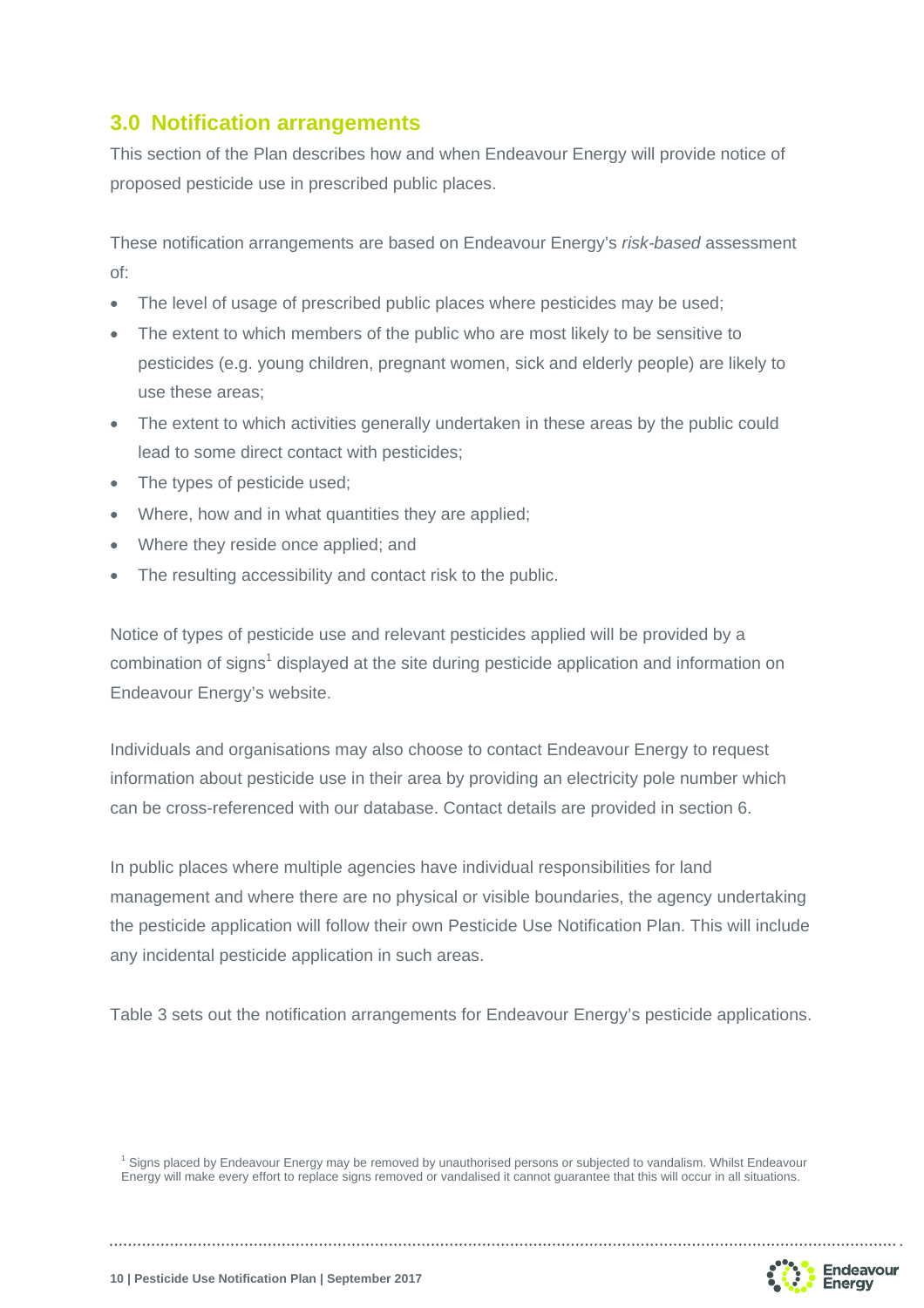## **3.0 Notification arrangements**

This section of the Plan describes how and when Endeavour Energy will provide notice of proposed pesticide use in prescribed public places.

These notification arrangements are based on Endeavour Energy's *risk-based* assessment of:

- The level of usage of prescribed public places where pesticides may be used;
- The extent to which members of the public who are most likely to be sensitive to pesticides (e.g. young children, pregnant women, sick and elderly people) are likely to use these areas;
- The extent to which activities generally undertaken in these areas by the public could lead to some direct contact with pesticides;
- The types of pesticide used;
- Where, how and in what quantities they are applied:
- Where they reside once applied; and
- The resulting accessibility and contact risk to the public.

Notice of types of pesticide use and relevant pesticides applied will be provided by a combination of signs<sup>1</sup> displayed at the site during pesticide application and information on Endeavour Energy's website.

Individuals and organisations may also choose to contact Endeavour Energy to request information about pesticide use in their area by providing an electricity pole number which can be cross-referenced with our database. Contact details are provided in section 6.

In public places where multiple agencies have individual responsibilities for land management and where there are no physical or visible boundaries, the agency undertaking the pesticide application will follow their own Pesticide Use Notification Plan. This will include any incidental pesticide application in such areas.

Table 3 sets out the notification arrangements for Endeavour Energy's pesticide applications.

<sup>1</sup> Signs placed by Endeavour Energy may be removed by unauthorised persons or subjected to vandalism. Whilst Endeavour Energy will make every effort to replace signs removed or vandalised it cannot guarantee that this will occur in all situations.

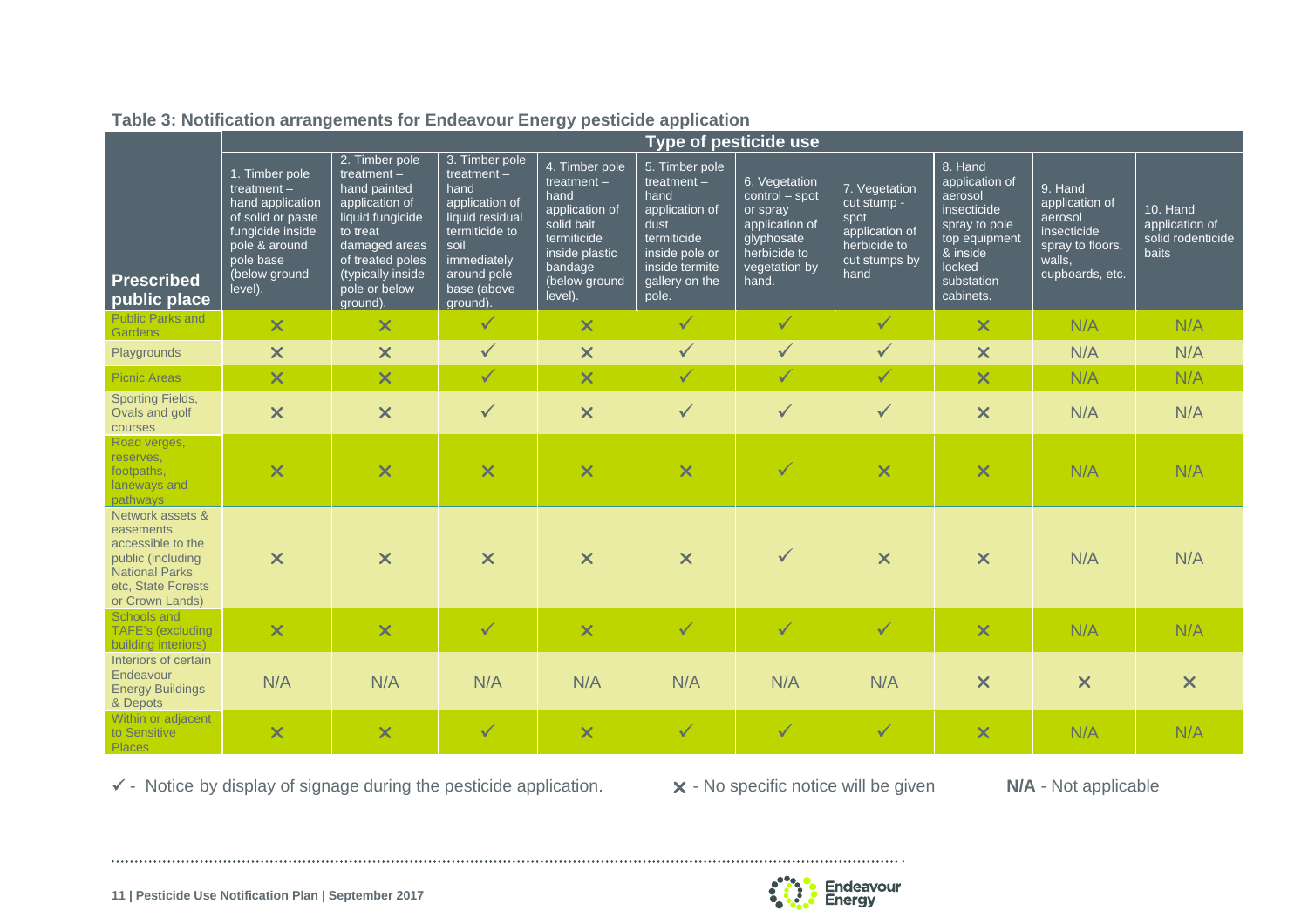|                                                                                                                                           | <b>Type of pesticide use</b>                                                                                                                           |                                                                                                                                                                                          |                                                                                                                                                                 |                                                                                                                                                 |                                                                                                                                                 |                                                                                                                       |                                                                                                 |                                                                                                                                        |                                                                                                      |                                                                 |
|-------------------------------------------------------------------------------------------------------------------------------------------|--------------------------------------------------------------------------------------------------------------------------------------------------------|------------------------------------------------------------------------------------------------------------------------------------------------------------------------------------------|-----------------------------------------------------------------------------------------------------------------------------------------------------------------|-------------------------------------------------------------------------------------------------------------------------------------------------|-------------------------------------------------------------------------------------------------------------------------------------------------|-----------------------------------------------------------------------------------------------------------------------|-------------------------------------------------------------------------------------------------|----------------------------------------------------------------------------------------------------------------------------------------|------------------------------------------------------------------------------------------------------|-----------------------------------------------------------------|
| <b>Prescribed</b><br>public place                                                                                                         | 1. Timber pole<br>treatment $-$<br>hand application<br>of solid or paste<br>fungicide inside<br>pole & around<br>pole base<br>(below ground<br>level). | 2. Timber pole<br>treatment $-$<br>hand painted<br>application of<br>liquid fungicide<br>to treat<br>damaged areas<br>of treated poles<br>(typically inside<br>pole or below<br>ground). | 3. Timber pole<br>treatment $-$<br>hand<br>application of<br>liquid residual<br>termiticide to<br>soil<br>immediately<br>around pole<br>base (above<br>ground). | 4. Timber pole<br>treatment $-$<br>hand<br>application of<br>solid bait<br>termiticide<br>inside plastic<br>bandage<br>(below ground<br>level). | 5. Timber pole<br>treatment $-$<br>hand<br>application of<br>dust<br>termiticide<br>inside pole or<br>inside termite<br>gallery on the<br>pole. | 6. Vegetation<br>control - spot<br>or spray<br>application of<br>glyphosate<br>herbicide to<br>vegetation by<br>hand. | 7. Vegetation<br>cut stump -<br>spot<br>application of<br>herbicide to<br>cut stumps by<br>hand | 8. Hand<br>application of<br>aerosol<br>insecticide<br>spray to pole<br>top equipment<br>& inside<br>locked<br>substation<br>cabinets. | 9. Hand<br>application of<br>aerosol<br>insecticide<br>spray to floors.<br>walls,<br>cupboards, etc. | 10. Hand<br>application of<br>solid rodenticide<br><b>baits</b> |
| <b>Public Parks and</b><br>Gardens                                                                                                        | $\overline{\mathsf{x}}$                                                                                                                                | $\overline{\mathsf{x}}$                                                                                                                                                                  | $\checkmark$                                                                                                                                                    | $\overline{\mathsf{x}}$                                                                                                                         | $\checkmark$                                                                                                                                    | $\checkmark$                                                                                                          | $\checkmark$                                                                                    | $\overline{\mathsf{x}}$                                                                                                                | N/A                                                                                                  | N/A                                                             |
| Playgrounds                                                                                                                               | $\overline{\mathsf{x}}$                                                                                                                                | $\boldsymbol{\mathsf{x}}$                                                                                                                                                                | $\checkmark$                                                                                                                                                    | $\boldsymbol{\mathsf{x}}$                                                                                                                       | $\checkmark$                                                                                                                                    | $\checkmark$                                                                                                          | $\checkmark$                                                                                    | $\boldsymbol{\mathsf{x}}$                                                                                                              | N/A                                                                                                  | N/A                                                             |
| <b>Picnic Areas</b>                                                                                                                       | $\overline{\mathsf{x}}$                                                                                                                                | $\times$                                                                                                                                                                                 | $\checkmark$                                                                                                                                                    | $\overline{\mathsf{x}}$                                                                                                                         | $\checkmark$                                                                                                                                    | $\checkmark$                                                                                                          | $\checkmark$                                                                                    | $\overline{\mathsf{x}}$                                                                                                                | N/A                                                                                                  | N/A                                                             |
| <b>Sporting Fields,</b><br>Ovals and golf<br>courses                                                                                      | $\overline{\mathsf{x}}$                                                                                                                                | $\boldsymbol{\mathsf{x}}$                                                                                                                                                                | $\checkmark$                                                                                                                                                    | $\boldsymbol{\mathsf{x}}$                                                                                                                       | $\checkmark$                                                                                                                                    | $\checkmark$                                                                                                          | $\checkmark$                                                                                    | $\boldsymbol{\mathsf{x}}$                                                                                                              | N/A                                                                                                  | N/A                                                             |
| Road verges,<br>reserves,<br>footpaths,<br>laneways and<br>pathways                                                                       | $\overline{\mathsf{x}}$                                                                                                                                | $\overline{\mathsf{x}}$                                                                                                                                                                  | $\overline{\mathsf{x}}$                                                                                                                                         | $\overline{\mathsf{x}}$                                                                                                                         | $\overline{\mathsf{x}}$                                                                                                                         | $\checkmark$                                                                                                          | $\overline{\mathsf{x}}$                                                                         | $\overline{\mathsf{x}}$                                                                                                                | N/A                                                                                                  | N/A                                                             |
| Network assets &<br>easements<br>accessible to the<br>public (including<br><b>National Parks</b><br>etc. State Forests<br>or Crown Lands) | $\boldsymbol{\times}$                                                                                                                                  | $\boldsymbol{\times}$                                                                                                                                                                    | $\overline{\mathsf{x}}$                                                                                                                                         | $\boldsymbol{\times}$                                                                                                                           | $\overline{\mathsf{x}}$                                                                                                                         | $\checkmark$                                                                                                          | $\overline{\mathsf{x}}$                                                                         | $\boldsymbol{\mathsf{x}}$                                                                                                              | N/A                                                                                                  | N/A                                                             |
| Schools and<br>TAFE's (excluding<br>building interiors)                                                                                   | $\overline{\mathsf{x}}$                                                                                                                                | $\overline{\mathsf{x}}$                                                                                                                                                                  | $\checkmark$                                                                                                                                                    | $\overline{\mathsf{x}}$                                                                                                                         | $\checkmark$                                                                                                                                    | $\checkmark$                                                                                                          | $\checkmark$                                                                                    | $\overline{\mathsf{x}}$                                                                                                                | N/A                                                                                                  | N/A                                                             |
| Interiors of certain<br>Endeavour<br><b>Energy Buildings</b><br>& Depots                                                                  | N/A                                                                                                                                                    | N/A                                                                                                                                                                                      | N/A                                                                                                                                                             | N/A                                                                                                                                             | N/A                                                                                                                                             | N/A                                                                                                                   | N/A                                                                                             | $\boldsymbol{\mathsf{x}}$                                                                                                              | $\boldsymbol{\mathsf{x}}$                                                                            | $\boldsymbol{\mathsf{x}}$                                       |
| Within or adjacent<br>to Sensitive<br>Places                                                                                              | $\overline{\mathsf{x}}$                                                                                                                                | $\boldsymbol{\times}$                                                                                                                                                                    | $\checkmark$                                                                                                                                                    | $\overline{\mathsf{x}}$                                                                                                                         | $\checkmark$                                                                                                                                    | $\checkmark$                                                                                                          | $\checkmark$                                                                                    | $\boldsymbol{\times}$                                                                                                                  | N/A                                                                                                  | N/A                                                             |

**Table 3: Notification arrangements for Endeavour Energy pesticide application** 

- Notice by display of signage during the pesticide application. - No specific notice will be given **N/A** - Not applicable

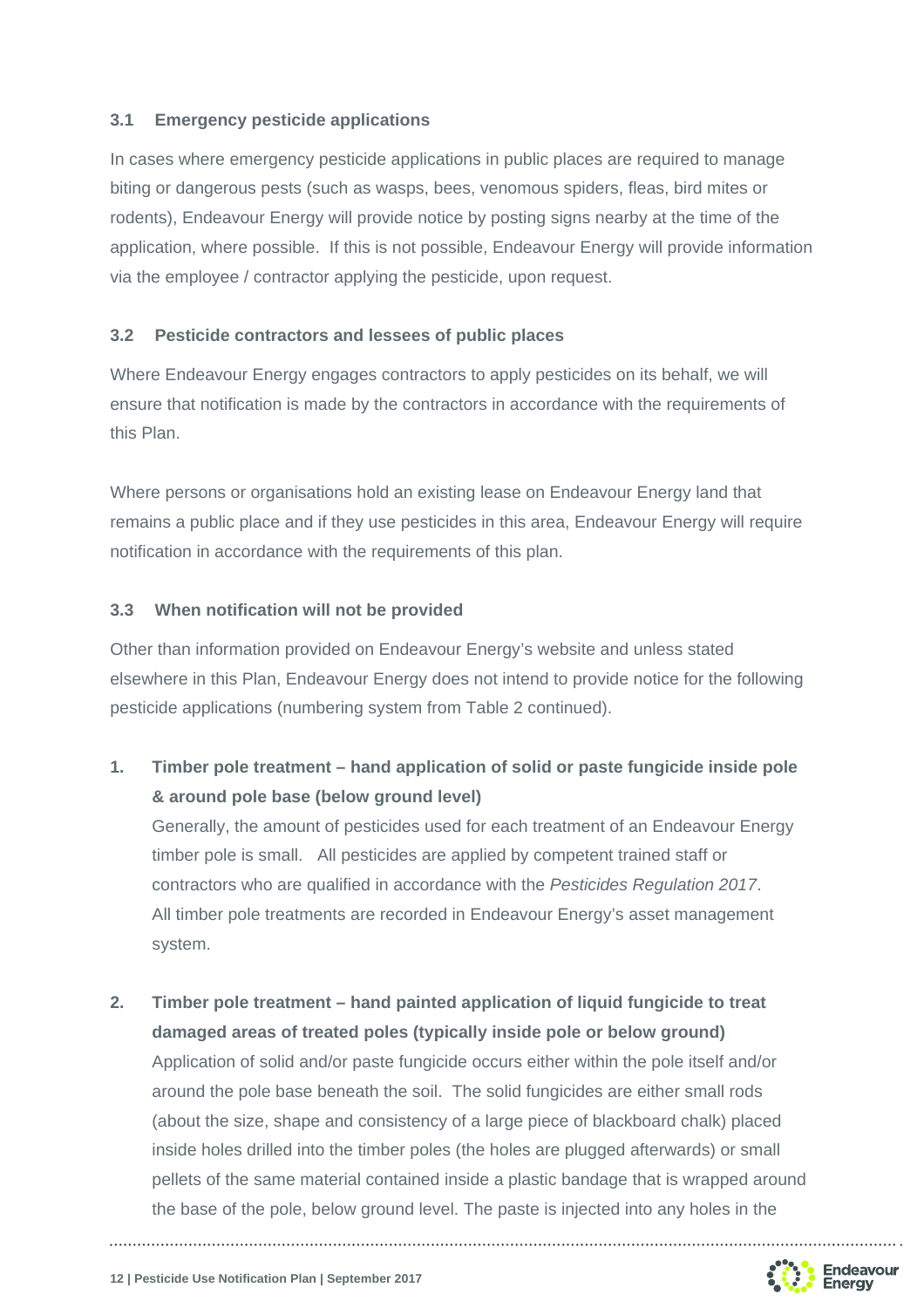#### **3.1 Emergency pesticide applications**

In cases where emergency pesticide applications in public places are required to manage biting or dangerous pests (such as wasps, bees, venomous spiders, fleas, bird mites or rodents), Endeavour Energy will provide notice by posting signs nearby at the time of the application, where possible. If this is not possible, Endeavour Energy will provide information via the employee / contractor applying the pesticide, upon request.

#### **3.2 Pesticide contractors and lessees of public places**

Where Endeavour Energy engages contractors to apply pesticides on its behalf, we will ensure that notification is made by the contractors in accordance with the requirements of this Plan.

Where persons or organisations hold an existing lease on Endeavour Energy land that remains a public place and if they use pesticides in this area, Endeavour Energy will require notification in accordance with the requirements of this plan.

#### **3.3 When notification will not be provided**

Other than information provided on Endeavour Energy's website and unless stated elsewhere in this Plan, Endeavour Energy does not intend to provide notice for the following pesticide applications (numbering system from Table 2 continued).

### **1. Timber pole treatment – hand application of solid or paste fungicide inside pole & around pole base (below ground level)**

 Generally, the amount of pesticides used for each treatment of an Endeavour Energy timber pole is small. All pesticides are applied by competent trained staff or contractors who are qualified in accordance with the *Pesticides Regulation 2017*. All timber pole treatments are recorded in Endeavour Energy's asset management system.

## **2. Timber pole treatment – hand painted application of liquid fungicide to treat damaged areas of treated poles (typically inside pole or below ground)**

 Application of solid and/or paste fungicide occurs either within the pole itself and/or around the pole base beneath the soil. The solid fungicides are either small rods (about the size, shape and consistency of a large piece of blackboard chalk) placed inside holes drilled into the timber poles (the holes are plugged afterwards) or small pellets of the same material contained inside a plastic bandage that is wrapped around the base of the pole, below ground level. The paste is injected into any holes in the

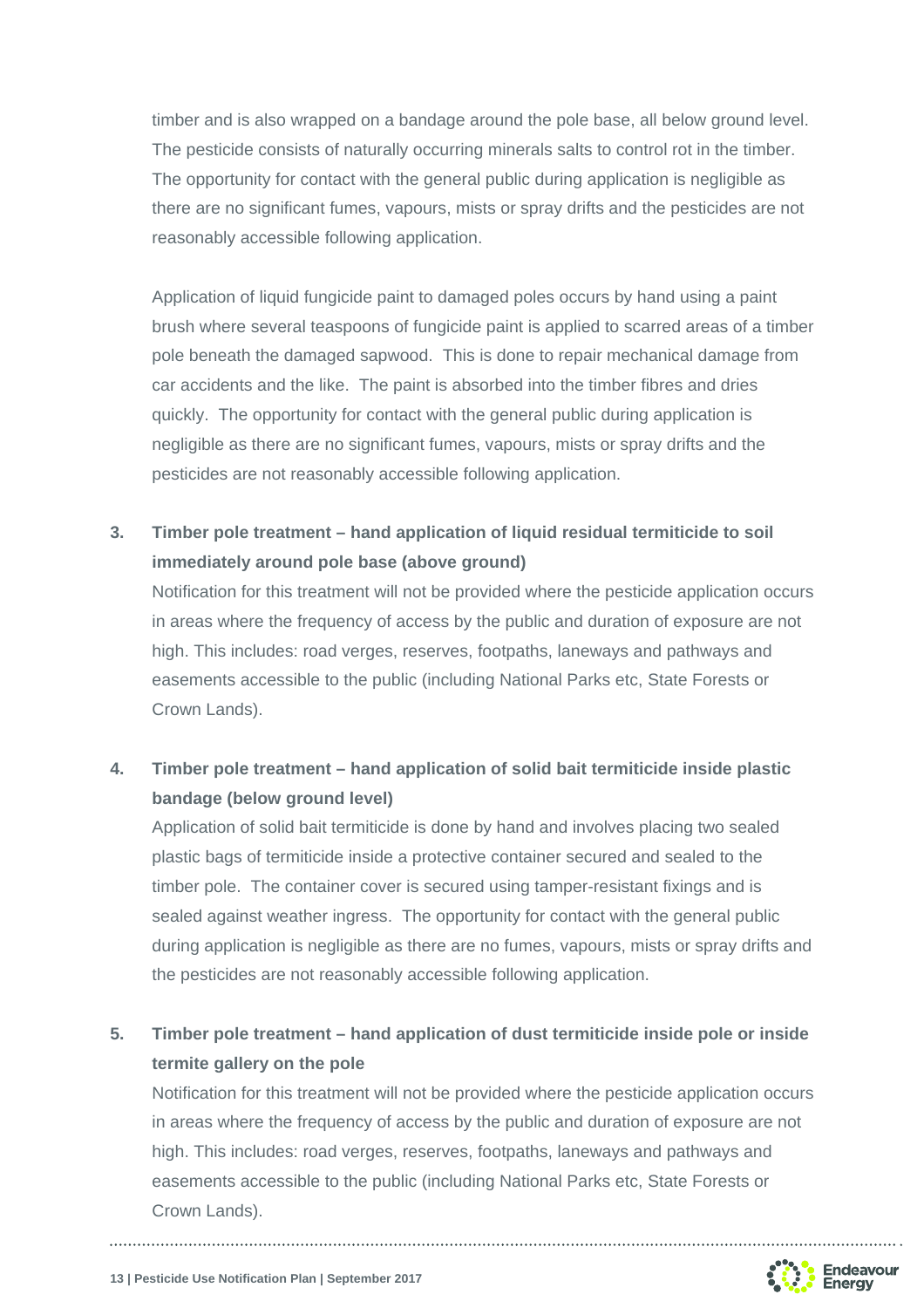timber and is also wrapped on a bandage around the pole base, all below ground level. The pesticide consists of naturally occurring minerals salts to control rot in the timber. The opportunity for contact with the general public during application is negligible as there are no significant fumes, vapours, mists or spray drifts and the pesticides are not reasonably accessible following application.

Application of liquid fungicide paint to damaged poles occurs by hand using a paint brush where several teaspoons of fungicide paint is applied to scarred areas of a timber pole beneath the damaged sapwood. This is done to repair mechanical damage from car accidents and the like. The paint is absorbed into the timber fibres and dries quickly. The opportunity for contact with the general public during application is negligible as there are no significant fumes, vapours, mists or spray drifts and the pesticides are not reasonably accessible following application.

**3. Timber pole treatment – hand application of liquid residual termiticide to soil immediately around pole base (above ground)** 

Notification for this treatment will not be provided where the pesticide application occurs in areas where the frequency of access by the public and duration of exposure are not high. This includes: road verges, reserves, footpaths, laneways and pathways and easements accessible to the public (including National Parks etc, State Forests or Crown Lands).

## **4. Timber pole treatment – hand application of solid bait termiticide inside plastic bandage (below ground level)**

Application of solid bait termiticide is done by hand and involves placing two sealed plastic bags of termiticide inside a protective container secured and sealed to the timber pole. The container cover is secured using tamper-resistant fixings and is sealed against weather ingress. The opportunity for contact with the general public during application is negligible as there are no fumes, vapours, mists or spray drifts and the pesticides are not reasonably accessible following application.

## **5. Timber pole treatment – hand application of dust termiticide inside pole or inside termite gallery on the pole**

Notification for this treatment will not be provided where the pesticide application occurs in areas where the frequency of access by the public and duration of exposure are not high. This includes: road verges, reserves, footpaths, laneways and pathways and easements accessible to the public (including National Parks etc, State Forests or Crown Lands).



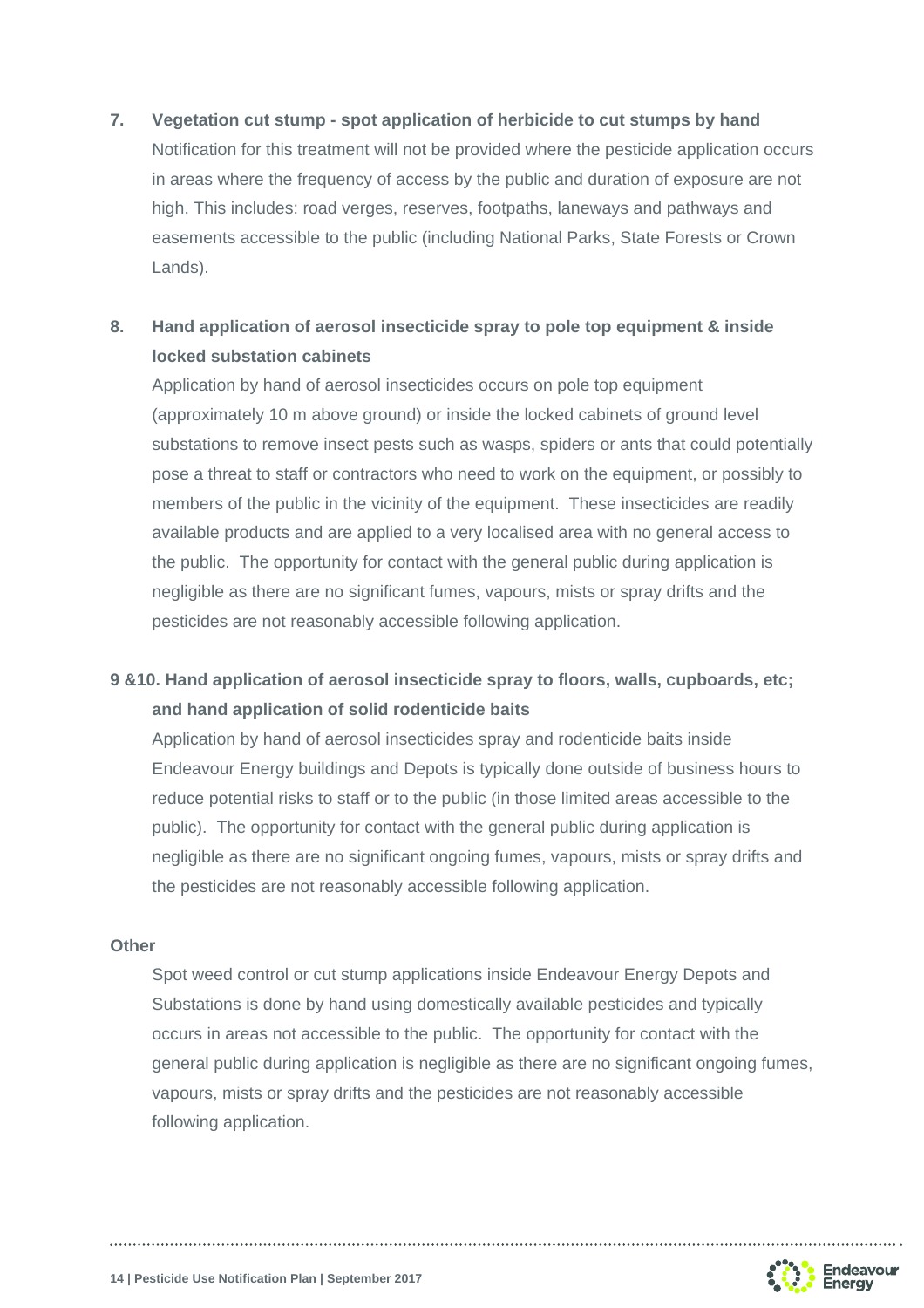#### **7. Vegetation cut stump - spot application of herbicide to cut stumps by hand**

Notification for this treatment will not be provided where the pesticide application occurs in areas where the frequency of access by the public and duration of exposure are not high. This includes: road verges, reserves, footpaths, laneways and pathways and easements accessible to the public (including National Parks, State Forests or Crown Lands).

## **8. Hand application of aerosol insecticide spray to pole top equipment & inside locked substation cabinets**

Application by hand of aerosol insecticides occurs on pole top equipment (approximately 10 m above ground) or inside the locked cabinets of ground level substations to remove insect pests such as wasps, spiders or ants that could potentially pose a threat to staff or contractors who need to work on the equipment, or possibly to members of the public in the vicinity of the equipment. These insecticides are readily available products and are applied to a very localised area with no general access to the public. The opportunity for contact with the general public during application is negligible as there are no significant fumes, vapours, mists or spray drifts and the pesticides are not reasonably accessible following application.

#### **9 &10. Hand application of aerosol insecticide spray to floors, walls, cupboards, etc; and hand application of solid rodenticide baits**

Application by hand of aerosol insecticides spray and rodenticide baits inside Endeavour Energy buildings and Depots is typically done outside of business hours to reduce potential risks to staff or to the public (in those limited areas accessible to the public). The opportunity for contact with the general public during application is negligible as there are no significant ongoing fumes, vapours, mists or spray drifts and the pesticides are not reasonably accessible following application.

#### **Other**

Spot weed control or cut stump applications inside Endeavour Energy Depots and Substations is done by hand using domestically available pesticides and typically occurs in areas not accessible to the public. The opportunity for contact with the general public during application is negligible as there are no significant ongoing fumes, vapours, mists or spray drifts and the pesticides are not reasonably accessible following application.

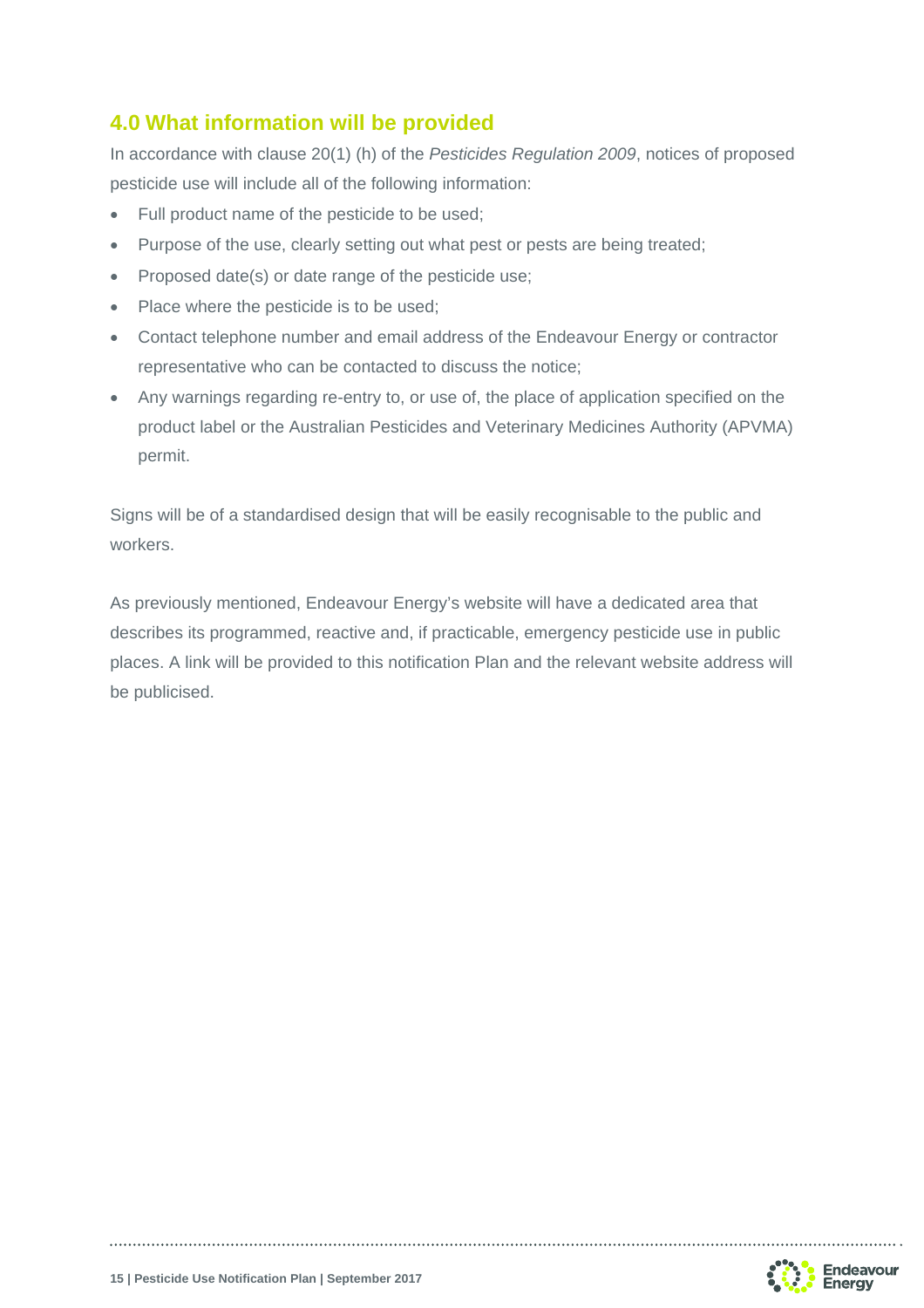## **4.0 What information will be provided**

In accordance with clause 20(1) (h) of the *Pesticides Regulation 2009*, notices of proposed pesticide use will include all of the following information:

- Full product name of the pesticide to be used:
- Purpose of the use, clearly setting out what pest or pests are being treated;
- Proposed date(s) or date range of the pesticide use;
- Place where the pesticide is to be used;
- Contact telephone number and email address of the Endeavour Energy or contractor representative who can be contacted to discuss the notice;
- Any warnings regarding re-entry to, or use of, the place of application specified on the product label or the Australian Pesticides and Veterinary Medicines Authority (APVMA) permit.

Signs will be of a standardised design that will be easily recognisable to the public and workers.

As previously mentioned, Endeavour Energy's website will have a dedicated area that describes its programmed, reactive and, if practicable, emergency pesticide use in public places. A link will be provided to this notification Plan and the relevant website address will be publicised.



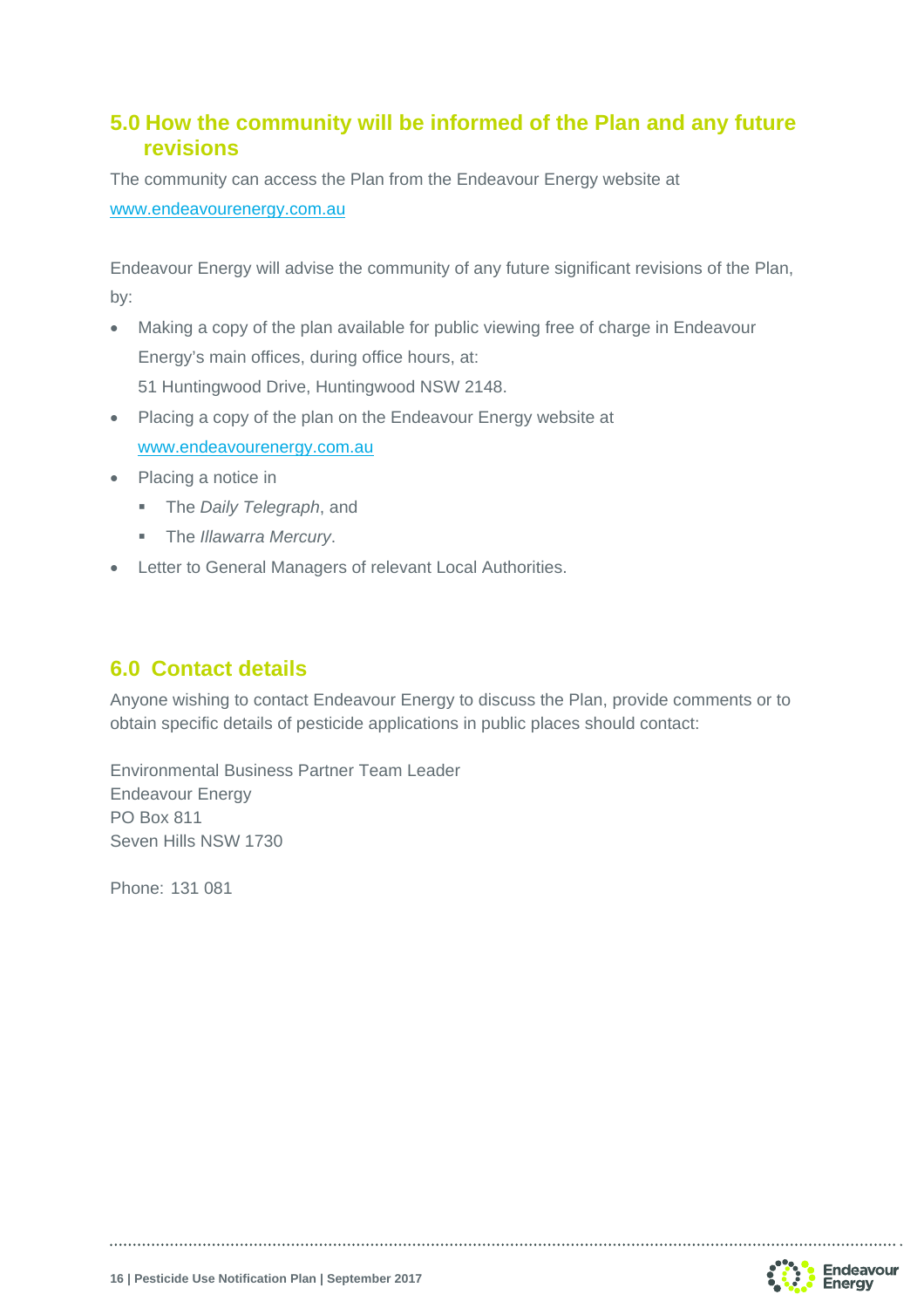### **5.0 How the community will be informed of the Plan and any future revisions**

The community can access the Plan from the Endeavour Energy website at www.endeavourenergy.com.au

Endeavour Energy will advise the community of any future significant revisions of the Plan, by:

- Making a copy of the plan available for public viewing free of charge in Endeavour Energy's main offices, during office hours, at: 51 Huntingwood Drive, Huntingwood NSW 2148.
- Placing a copy of the plan on the Endeavour Energy website at www.endeavourenergy.com.au
- Placing a notice in
	- The *Daily Telegraph*, and
	- The *Illawarra Mercury*.
- Letter to General Managers of relevant Local Authorities.

## **6.0 Contact details**

Anyone wishing to contact Endeavour Energy to discuss the Plan, provide comments or to obtain specific details of pesticide applications in public places should contact:

Environmental Business Partner Team Leader Endeavour Energy PO Box 811 Seven Hills NSW 1730

Phone: 131 081

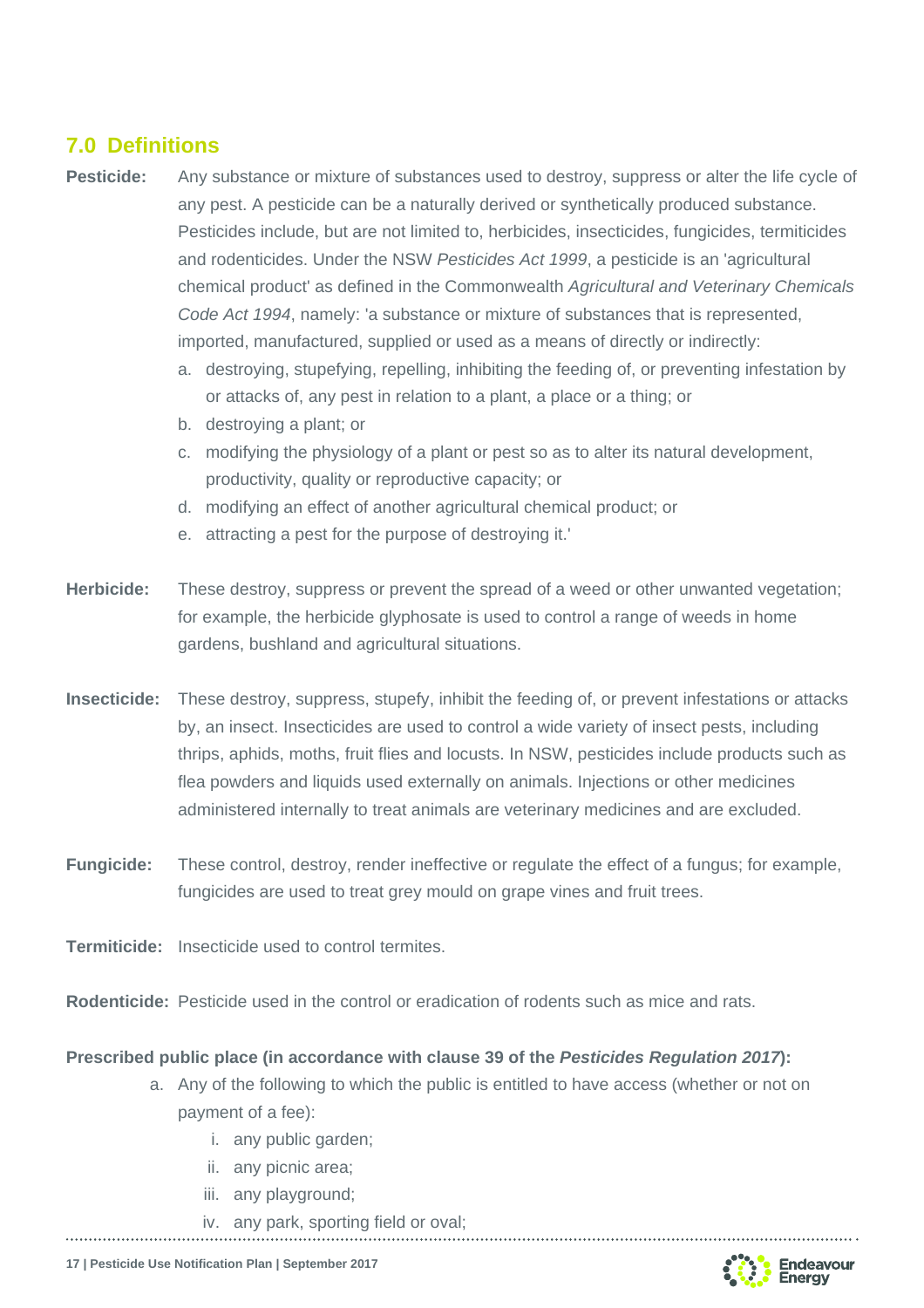## **7.0 Definitions**

- **Pesticide:** Any substance or mixture of substances used to destroy, suppress or alter the life cycle of any pest. A pesticide can be a naturally derived or synthetically produced substance. Pesticides include, but are not limited to, herbicides, insecticides, fungicides, termiticides and rodenticides. Under the NSW *Pesticides Act 1999*, a pesticide is an 'agricultural chemical product' as defined in the Commonwealth *Agricultural and Veterinary Chemicals Code Act 1994*, namely: 'a substance or mixture of substances that is represented, imported, manufactured, supplied or used as a means of directly or indirectly:
	- a. destroying, stupefying, repelling, inhibiting the feeding of, or preventing infestation by or attacks of, any pest in relation to a plant, a place or a thing; or
	- b. destroying a plant; or
	- c. modifying the physiology of a plant or pest so as to alter its natural development, productivity, quality or reproductive capacity; or
	- d. modifying an effect of another agricultural chemical product; or
	- e. attracting a pest for the purpose of destroying it.'
- **Herbicide:** These destroy, suppress or prevent the spread of a weed or other unwanted vegetation; for example, the herbicide glyphosate is used to control a range of weeds in home gardens, bushland and agricultural situations.
- **Insecticide:** These destroy, suppress, stupefy, inhibit the feeding of, or prevent infestations or attacks by, an insect. Insecticides are used to control a wide variety of insect pests, including thrips, aphids, moths, fruit flies and locusts. In NSW, pesticides include products such as flea powders and liquids used externally on animals. Injections or other medicines administered internally to treat animals are veterinary medicines and are excluded.
- **Fungicide:** These control, destroy, render ineffective or regulate the effect of a fungus; for example, fungicides are used to treat grey mould on grape vines and fruit trees.
- **Termiticide:** Insecticide used to control termites.
- **Rodenticide:** Pesticide used in the control or eradication of rodents such as mice and rats.

#### **Prescribed public place (in accordance with clause 39 of the** *Pesticides Regulation 2017***):**

- a. Any of the following to which the public is entitled to have access (whether or not on payment of a fee):
	- i. any public garden;
	- ii. any picnic area;
	- iii. any playground;
	- iv. any park, sporting field or oval;